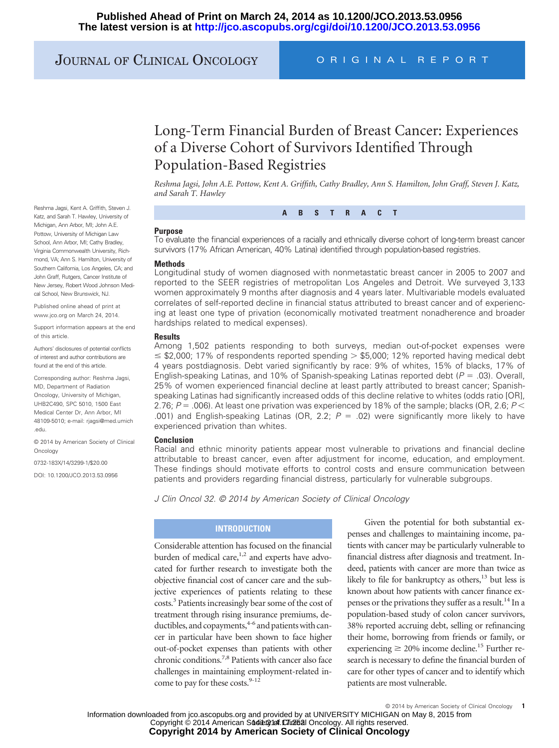# JOURNAL OF CLINICAL ONCOLOGY ORIGINAL REPORT

# Long-Term Financial Burden of Breast Cancer: Experiences of a Diverse Cohort of Survivors Identified Through Population-Based Registries

*Reshma Jagsi, John A.E. Pottow, Kent A. Griffith, Cathy Bradley, Ann S. Hamilton, John Graff, Steven J. Katz, and Sarah T. Hawley*

**ABSTRACT**

#### **Purpose**

To evaluate the financial experiences of a racially and ethnically diverse cohort of long-term breast cancer survivors (17% African American, 40% Latina) identified through population-based registries.

### **Methods**

Longitudinal study of women diagnosed with nonmetastatic breast cancer in 2005 to 2007 and reported to the SEER registries of metropolitan Los Angeles and Detroit. We surveyed 3,133 women approximately 9 months after diagnosis and 4 years later. Multivariable models evaluated correlates of self-reported decline in financial status attributed to breast cancer and of experiencing at least one type of privation (economically motivated treatment nonadherence and broader hardships related to medical expenses).

### **Results**

Among 1,502 patients responding to both surveys, median out-of-pocket expenses were  $\le$  \$2,000; 17% of respondents reported spending  $>$  \$5,000; 12% reported having medical debt 4 years postdiagnosis. Debt varied significantly by race: 9% of whites, 15% of blacks, 17% of English-speaking Latinas, and 10% of Spanish-speaking Latinas reported debt  $(P = .03)$ . Overall, 25% of women experienced financial decline at least partly attributed to breast cancer; Spanishspeaking Latinas had significantly increased odds of this decline relative to whites (odds ratio [OR], 2.76;  $P = 0.006$ ). At least one privation was experienced by 18% of the sample; blacks (OR, 2.6;  $P <$ .001) and English-speaking Latinas (OR, 2.2;  $P = .02$ ) were significantly more likely to have experienced privation than whites.

#### **Conclusion**

Racial and ethnic minority patients appear most vulnerable to privations and financial decline attributable to breast cancer, even after adjustment for income, education, and employment. These findings should motivate efforts to control costs and ensure communication between patients and providers regarding financial distress, particularly for vulnerable subgroups.

*J Clin Oncol 32. © 2014 by American Society of Clinical Oncology*

# **INTRODUCTION**

Considerable attention has focused on the financial burden of medical care, $1,2$  and experts have advocated for further research to investigate both the objective financial cost of cancer care and the subjective experiences of patients relating to these costs.3 Patients increasingly bear some of the cost of treatment through rising insurance premiums, deductibles, and copayments, 4-6 and patients with cancer in particular have been shown to face higher out-of-pocket expenses than patients with other chronic conditions.7,8 Patients with cancer also face challenges in maintaining employment-related income to pay for these costs. $9-12$ 

Given the potential for both substantial expenses and challenges to maintaining income, patients with cancer may be particularly vulnerable to financial distress after diagnosis and treatment. Indeed, patients with cancer are more than twice as likely to file for bankruptcy as others, $13$  but less is known about how patients with cancer finance expenses or the privations they suffer as a result.<sup>14</sup> In a population-based study of colon cancer survivors, 38% reported accruing debt, selling or refinancing their home, borrowing from friends or family, or experiencing  $\geq 20\%$  income decline.<sup>15</sup> Further research is necessary to define the financial burden of care for other types of cancer and to identify which patients are most vulnerable.

Reshma Jagsi, Kent A. Griffith, Steven J. Katz, and Sarah T. Hawley, University of Michigan, Ann Arbor, MI; John A.E. Pottow, University of Michigan Law School, Ann Arbor, MI; Cathy Bradley, Virginia Commonwealth University, Richmond, VA; Ann S. Hamilton, University of Southern California, Los Angeles, CA; and John Graff, Rutgers, Cancer Institute of New Jersey, Robert Wood Johnson Medical School, New Brunswick, NJ.

Published online ahead of print at www.jco.org on March 24, 2014.

Support information appears at the end of this article.

Authors' disclosures of potential conflicts of interest and author contributions are found at the end of this article.

Corresponding author: Reshma Jagsi, MD, Department of Radiation Oncology, University of Michigan, UHB2C490, SPC 5010, 1500 East Medical Center Dr, Ann Arbor, MI 48109-5010; e-mail: rjagsi@med.umich .edu.

© 2014 by American Society of Clinical Oncology

0732-183X/14/3299-1/\$20.00

DOI: 10.1200/JCO.2013.53.0956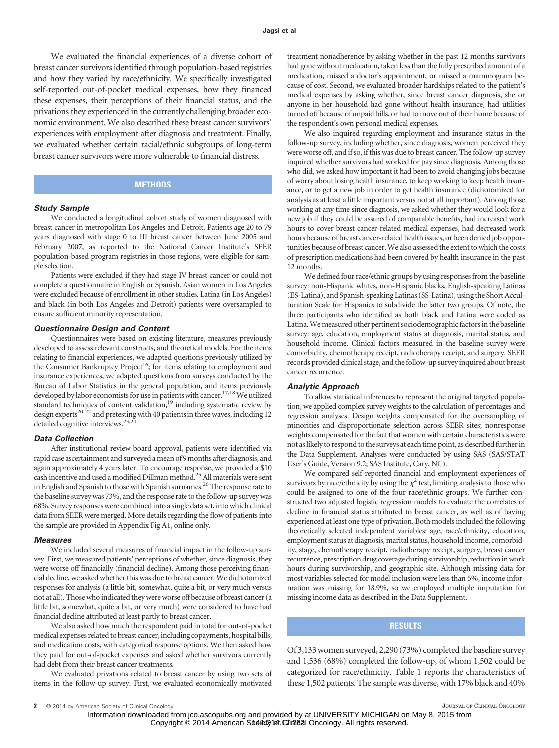We evaluated the financial experiences of a diverse cohort of breast cancer survivors identified through population-based registries and how they varied by race/ethnicity. We specifically investigated self-reported out-of-pocket medical expenses, how they financed these expenses, their perceptions of their financial status, and the privations they experienced in the currently challenging broader economic environment. We also described these breast cancer survivors' experiences with employment after diagnosis and treatment. Finally, we evaluated whether certain racial/ethnic subgroups of long-term breast cancer survivors were more vulnerable to financial distress.

# **METHODS**

#### *Study Sample*

We conducted a longitudinal cohort study of women diagnosed with breast cancer in metropolitan Los Angeles and Detroit. Patients age 20 to 79 years diagnosed with stage 0 to III breast cancer between June 2005 and February 2007, as reported to the National Cancer Institute's SEER population-based program registries in those regions, were eligible for sample selection.

Patients were excluded if they had stage IV breast cancer or could not complete a questionnaire in English or Spanish. Asian women in Los Angeles were excluded because of enrollment in other studies. Latina (in Los Angeles) and black (in both Los Angeles and Detroit) patients were oversampled to ensure sufficient minority representation.

#### *Questionnaire Design and Content*

Questionnaires were based on existing literature, measures previously developed to assess relevant constructs, and theoretical models. For the items relating to financial experiences, we adapted questions previously utilized by the Consumer Bankruptcy Project<sup>16</sup>; for items relating to employment and insurance experiences, we adapted questions from surveys conducted by the Bureau of Labor Statistics in the general population, and items previously developed by labor economists for use in patients with cancer.<sup>17,18</sup> We utilized standard techniques of content validation,<sup>19</sup> including systematic review by design experts<sup>20-22</sup> and pretesting with 40 patients in three waves, including 12 detailed cognitive interviews.<sup>23,24</sup>

#### *Data Collection*

After institutional review board approval, patients were identified via rapid case ascertainment and surveyed amean of 9months after diagnosis, and again approximately 4 years later. To encourage response, we provided a \$10 cash incentive and used a modified Dillman method.<sup>25</sup> All materials were sent in English and Spanish to those with Spanish surnames.<sup>26</sup> The response rate to the baseline survey was 73%, and the response rate to the follow-up survey was 68%. Survey responses were combined into a single data set, into which clinical data from SEER were merged. More details regarding the flow of patients into the sample are provided in Appendix Fig A1, online only.

#### *Measures*

We included several measures of financial impact in the follow-up survey. First, we measured patients' perceptions of whether, since diagnosis, they were worse off financially (financial decline). Among those perceiving financial decline, we asked whether this was due to breast cancer. We dichotomized responses for analysis (a little bit, somewhat, quite a bit, or very much versus not at all). Those who indicated they were worse off because of breast cancer (a little bit, somewhat, quite a bit, or very much) were considered to have had financial decline attributed at least partly to breast cancer.

We also asked how much the respondent paid in total for out-of-pocket medical expenses related to breast cancer, including copayments, hospital bills, and medication costs, with categorical response options. We then asked how they paid for out-of-pocket expenses and asked whether survivors currently had debt from their breast cancer treatments.

We evaluated privations related to breast cancer by using two sets of items in the follow-up survey. First, we evaluated economically motivated

treatment nonadherence by asking whether in the past 12 months survivors had gone without medication, taken less than the fully prescribed amount of a medication, missed a doctor's appointment, or missed a mammogram because of cost. Second, we evaluated broader hardships related to the patient's medical expenses by asking whether, since breast cancer diagnosis, she or anyone in her household had gone without health insurance, had utilities turned off because of unpaid bills, or had to move out of their home because of the respondent's own personal medical expenses.

We also inquired regarding employment and insurance status in the follow-up survey, including whether, since diagnosis, women perceived they were worse off, and if so, if this was due to breast cancer. The follow-up survey inquired whether survivors had worked for pay since diagnosis. Among those who did, we asked how important it had been to avoid changing jobs because of worry about losing health insurance, to keep working to keep health insurance, or to get a new job in order to get health insurance (dichotomized for analysis as at least a little important versus not at all important). Among those working at any time since diagnosis, we asked whether they would look for a new job if they could be assured of comparable benefits, had increased work hours to cover breast cancer-related medical expenses, had decreased work hours because of breast cancer-related health issues, or been denied job opportunities because of breast cancer.We also assessed the extent to which the costs of prescription medications had been covered by health insurance in the past 12 months.

We defined four race/ethnic groups by using responses from the baseline survey: non-Hispanic whites, non-Hispanic blacks, English-speaking Latinas (ES-Latina), and Spanish-speaking Latinas (SS-Latina), using the Short Acculturation Scale for Hispanics to subdivide the latter two groups. Of note, the three participants who identified as both black and Latina were coded as Latina. We measured other pertinent sociodemographic factors in the baseline survey: age, education, employment status at diagnosis, marital status, and household income. Clinical factors measured in the baseline survey were comorbidity, chemotherapy receipt, radiotherapy receipt, and surgery. SEER records provided clinical stage, and thefollow-up surveyinquired about breast cancer recurrence.

#### *Analytic Approach*

To allow statistical inferences to represent the original targeted population, we applied complex survey weights to the calculation of percentages and regression analyses. Design weights compensated for the oversampling of minorities and disproportionate selection across SEER sites; nonresponse weights compensated for the fact that women with certain characteristics were not as likely to respond to the surveys at each time point, as described further in the Data Supplement. Analyses were conducted by using SAS (SAS/STAT User's Guide, Version 9.2; SAS Institute, Cary, NC).

We compared self-reported financial and employment experiences of survivors by race/ethnicity by using the  $\chi^2$  test, limiting analysis to those who could be assigned to one of the four race/ethnic groups. We further constructed two adjusted logistic regression models to evaluate the correlates of decline in financial status attributed to breast cancer, as well as of having experienced at least one type of privation. Both models included the following theoretically selected independent variables: age, race/ethnicity, education, employment status at diagnosis, marital status, household income, comorbidity, stage, chemotherapy receipt, radiotherapy receipt, surgery, breast cancer recurrence, prescription drug coverage during survivorship, reductioninwork hours during survivorship, and geographic site. Although missing data for most variables selected for model inclusion were less than 5%, income information was missing for 18.9%, so we employed multiple imputation for missing income data as described in the Data Supplement.

# **RESULTS**

Of 3,133women surveyed, 2,290 (73%) completed the baseline survey and 1,536 (68%) completed the follow-up, of whom 1,502 could be categorized for race/ethnicity. Table 1 reports the characteristics of these 1,502 patients. The sample was diverse, with 17% black and 40%

Copyright © 2014 American Society of Cluasial Oncology. All rights reserved. Information downloaded from jco.ascopubs.org and provided by at UNIVERSITY MICHIGAN on May 8, 2015 from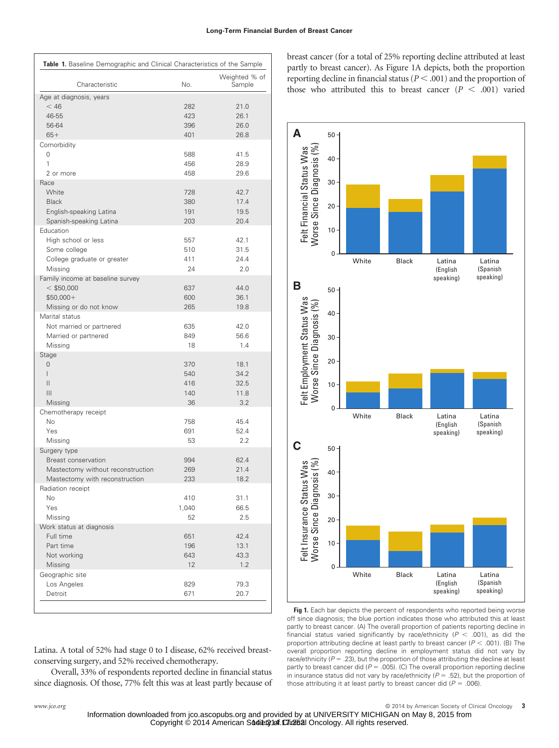| Weighted % of<br>Characteristic<br>No.<br>Sample<br>Age at diagnosis, years<br>$<$ 46<br>282<br>21.0<br>46-55<br>423<br>26.1<br>396<br>26.0<br>56-64<br>$65+$<br>401<br>26.8<br>Comorbidity |
|---------------------------------------------------------------------------------------------------------------------------------------------------------------------------------------------|
|                                                                                                                                                                                             |
|                                                                                                                                                                                             |
|                                                                                                                                                                                             |
|                                                                                                                                                                                             |
|                                                                                                                                                                                             |
|                                                                                                                                                                                             |
|                                                                                                                                                                                             |
| 588<br>0<br>41.5                                                                                                                                                                            |
| 1<br>456<br>28.9                                                                                                                                                                            |
| 2 or more<br>458<br>29.6                                                                                                                                                                    |
| Race                                                                                                                                                                                        |
| White<br>728<br>42.7                                                                                                                                                                        |
| <b>Black</b><br>380<br>17.4                                                                                                                                                                 |
| English-speaking Latina<br>191<br>19.5                                                                                                                                                      |
| Spanish-speaking Latina<br>203<br>20.4                                                                                                                                                      |
| Education                                                                                                                                                                                   |
| High school or less<br>42.1<br>557                                                                                                                                                          |
| Some college<br>510<br>31.5                                                                                                                                                                 |
| College graduate or greater<br>411<br>24.4                                                                                                                                                  |
| 24<br>2.0<br>Missing                                                                                                                                                                        |
| Family income at baseline survey                                                                                                                                                            |
| $<$ \$50,000<br>637<br>44.0                                                                                                                                                                 |
| $$50,000+$<br>600<br>36.1                                                                                                                                                                   |
| Missing or do not know<br>265<br>19.8                                                                                                                                                       |
| Marital status                                                                                                                                                                              |
| 635<br>Not married or partnered<br>42.0                                                                                                                                                     |
| 849<br>56.6                                                                                                                                                                                 |
| Married or partnered<br>18<br>1.4                                                                                                                                                           |
| Missing<br>Stage                                                                                                                                                                            |
| 0<br>370<br>18.1                                                                                                                                                                            |
| I<br>540<br>34.2                                                                                                                                                                            |
| $\mathsf{II}$<br>416<br>32.5                                                                                                                                                                |
| Ш<br>140<br>11.8                                                                                                                                                                            |
| 36<br>3.2                                                                                                                                                                                   |
| Missing                                                                                                                                                                                     |
| Chemotherapy receipt<br>No<br>758<br>45.4                                                                                                                                                   |
|                                                                                                                                                                                             |
| Yes<br>691<br>52.4<br>2.2<br>53                                                                                                                                                             |
| Missing                                                                                                                                                                                     |
| Surgery type                                                                                                                                                                                |
| Breast conservation<br>994<br>62.4                                                                                                                                                          |
| Mastectomy without reconstruction<br>269<br>21.4                                                                                                                                            |
| Mastectomy with reconstruction<br>233<br>18.2                                                                                                                                               |
| Radiation receipt<br>No                                                                                                                                                                     |
| 410<br>31.1                                                                                                                                                                                 |
| Yes<br>1,040<br>66.5                                                                                                                                                                        |
| Missing<br>52<br>2.5                                                                                                                                                                        |
| Work status at diagnosis                                                                                                                                                                    |
| Full time<br>651<br>42.4                                                                                                                                                                    |
| Part time<br>196<br>13.1                                                                                                                                                                    |
| Not working<br>643<br>43.3                                                                                                                                                                  |
| 12<br>1.2<br>Missing                                                                                                                                                                        |
| Geographic site                                                                                                                                                                             |
| Los Angeles<br>829<br>79.3                                                                                                                                                                  |
| Detroit<br>671<br>20.7                                                                                                                                                                      |

breast cancer (for a total of 25% reporting decline attributed at least partly to breast cancer). As Figure 1A depicts, both the proportion reporting decline in financial status ( $P < .001$ ) and the proportion of those who attributed this to breast cancer  $(P < .001)$  varied



Fig 1. Each bar depicts the percent of respondents who reported being worse off since diagnosis; the blue portion indicates those who attributed this at least partly to breast cancer. (A) The overall proportion of patients reporting decline in financial status varied significantly by race/ethnicity  $(P < .001)$ , as did the proportion attributing decline at least partly to breast cancer ( $P < .001$ ). (B) The overall proportion reporting decline in employment status did not vary by race/ethnicity ( $P = .23$ ), but the proportion of those attributing the decline at least partly to breast cancer did ( $P = .005$ ). (C) The overall proportion reporting decline in insurance status did not vary by race/ethnicity ( $P = .52$ ), but the proportion of those attributing it at least partly to breast cancer did  $(P = .006)$ .

Latina. A total of 52% had stage 0 to I disease, 62% received breastconserving surgery, and 52% received chemotherapy.

Overall, 33% of respondents reported decline in financial status since diagnosis. Of those, 77% felt this was at least partly because of

*www.jco.org* © 2014 by American Society of Clinical Oncology **3** Copyright © 2014 American Society of Cluasial Oncology. All rights reserved. Information downloaded from jco.ascopubs.org and provided by at UNIVERSITY MICHIGAN on May 8, 2015 from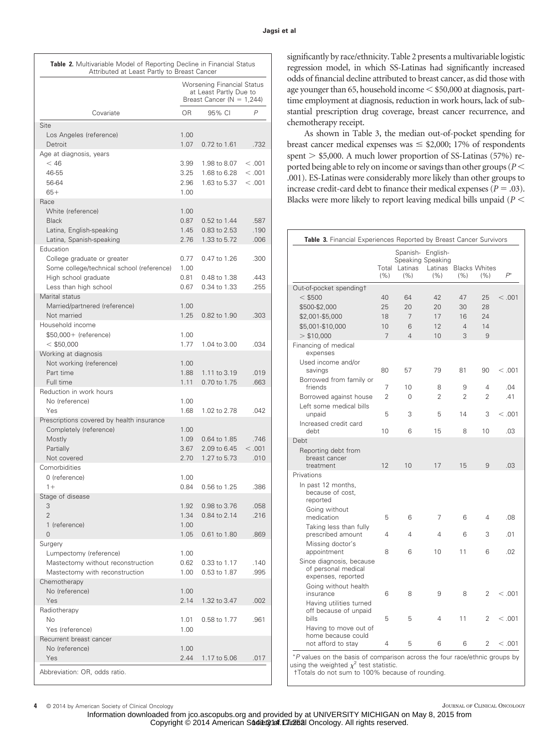| Table 2. Multivariable Model of Reporting Decline in Financial Status<br>Attributed at Least Partly to Breast Cancer                   |                                                                                       |                                              |                               |  |  |
|----------------------------------------------------------------------------------------------------------------------------------------|---------------------------------------------------------------------------------------|----------------------------------------------|-------------------------------|--|--|
|                                                                                                                                        | Worsening Financial Status<br>at Least Partly Due to<br>Breast Cancer ( $N = 1,244$ ) |                                              |                               |  |  |
| Covariate                                                                                                                              | 0 <sub>R</sub>                                                                        | 95% CI                                       | P                             |  |  |
| Site                                                                                                                                   |                                                                                       |                                              |                               |  |  |
| Los Angeles (reference)<br>Detroit                                                                                                     | 1.00<br>1.07                                                                          | 0.72 to 1.61                                 | .732                          |  |  |
| Age at diagnosis, years<br>$<$ 46<br>46-55<br>56-64<br>$65+$                                                                           | 3.99<br>3.25<br>2.96<br>1.00                                                          | 1.98 to 8.07<br>1.68 to 6.28<br>1.63 to 5.37 | < 0.001<br>< 0.001<br>< 0.001 |  |  |
| Race<br>White (reference)<br><b>Black</b><br>Latina, English-speaking<br>Latina, Spanish-speaking                                      | 1.00<br>0.87<br>1.45<br>2.76                                                          | 0.52 to 1.44<br>0.83 to 2.53<br>1.33 to 5.72 | .587<br>.190<br>.006          |  |  |
| Education<br>College graduate or greater<br>Some college/technical school (reference)<br>High school graduate<br>Less than high school | 0.77<br>1.00<br>0.81<br>0.67                                                          | 0.47 to 1.26<br>0.48 to 1.38<br>0.34 to 1.33 | .300<br>.443<br>.255          |  |  |
| Marital status<br>Married/partnered (reference)<br>Not married                                                                         | 1.00<br>1.25                                                                          | 0.82 to 1.90                                 | .303                          |  |  |
| Household income<br>\$50,000+ (reference)<br>$<$ \$50,000                                                                              | 1.00<br>1.77                                                                          | 1.04 to 3.00                                 | .034                          |  |  |
| Working at diagnosis<br>Not working (reference)<br>Part time<br>Full time                                                              | 1.00<br>1.88<br>1.11                                                                  | 1.11 to 3.19<br>0.70 to 1.75                 | .019<br>.663                  |  |  |
| Reduction in work hours<br>No (reference)<br>Yes                                                                                       | 1.00<br>1.68                                                                          | 1.02 to 2.78                                 | .042                          |  |  |
| Prescriptions covered by health insurance<br>Completely (reference)<br>Mostly<br>Partially<br>Not covered                              | 1.00<br>1.09<br>3.67<br>2.70                                                          | 0.64 to 1.85<br>2.09 to 6.45<br>1.27 to 5.73 | .746<br>< 0.001<br>.010       |  |  |
| Comorbidities<br>0 (reference)<br>$1 +$                                                                                                | 1.00<br>0.84                                                                          | 0.56 to 1.25                                 | .386                          |  |  |
| Stage of disease<br>3<br>$\overline{2}$<br>1 (reference)                                                                               | 1.92<br>1.34<br>1.00                                                                  | 0.98 to 3.76<br>0.84 to 2.14                 | .058<br>.216                  |  |  |
| $\overline{0}$<br>Surgery<br>Lumpectomy (reference)<br>Mastectomy without reconstruction<br>Mastectomy with reconstruction             | 1.05<br>1.00<br>0.62<br>1.00                                                          | 0.61 to 1.80<br>0.33 to 1.17<br>0.53 to 1.87 | .869<br>.140<br>.995          |  |  |
| Chemotherapy<br>No (reference)<br>Yes                                                                                                  | 1.00<br>2.14                                                                          | 1.32 to 3.47                                 | .002                          |  |  |
| Radiotherapy<br>No<br>Yes (reference)                                                                                                  | 1.01<br>1.00                                                                          | 0.58 to 1.77                                 | .961                          |  |  |
| Recurrent breast cancer<br>No (reference)<br>Yes                                                                                       | 1.00<br>2.44                                                                          | 1.17 to 5.06                                 | .017                          |  |  |
| Abbreviation: OR, odds ratio.                                                                                                          |                                                                                       |                                              |                               |  |  |

significantly by race/ethnicity. Table 2 presents a multivariable logistic regression model, in which SS-Latinas had significantly increased odds of financial decline attributed to breast cancer, as did those with age younger than 65, household income  $\leq$  \$50,000 at diagnosis, parttime employment at diagnosis, reduction in work hours, lack of substantial prescription drug coverage, breast cancer recurrence, and chemotherapy receipt.

As shown in Table 3, the median out-of-pocket spending for breast cancer medical expenses was  $\le$  \$2,000; 17% of respondents spent > \$5,000. A much lower proportion of SS-Latinas (57%) reported being able to rely on income or savings than other groups (*P* .001). ES-Latinas were considerably more likely than other groups to increase credit-card debt to finance their medical expenses ( $P = .03$ ). Blacks were more likely to report leaving medical bills unpaid (*P*

|                                                                       | Total<br>(%)   | Latinas<br>(%) | Spanish- English-<br>Speaking Speaking<br>Latinas<br>(%) | (%)            | <b>Blacks Whites</b><br>(%) | $P^*$   |
|-----------------------------------------------------------------------|----------------|----------------|----------------------------------------------------------|----------------|-----------------------------|---------|
| Out-of-pocket spendingt                                               |                |                |                                                          |                |                             |         |
| $<$ \$500                                                             | 40             | 64             | 42                                                       | 47             | 25                          | < 0.001 |
| \$500-\$2,000                                                         | 25             | 20             | 20                                                       | 30             | 28                          |         |
| \$2,001-\$5,000                                                       | 18             | 7              | 17                                                       | 16             | 24                          |         |
| \$5,001-\$10,000                                                      | 10             | 6              | 12                                                       | 4              | 14                          |         |
| > \$10,000                                                            | 7              | 4              | 10                                                       | 3              | 9                           |         |
| Financing of medical<br>expenses                                      |                |                |                                                          |                |                             |         |
| Used income and/or<br>savings                                         | 80             | 57             | 79                                                       | 81             | 90                          | < 0.001 |
| Borrowed from family or<br>friends                                    | 7              | 10             | 8                                                        | 9              | 4                           | .04     |
| Borrowed against house                                                | $\overline{2}$ | $\Omega$       | $\overline{2}$                                           | $\overline{2}$ | $\overline{2}$              | .41     |
| Left some medical bills                                               |                |                |                                                          |                |                             |         |
| unpaid<br>Increased credit card                                       | 5              | 3              | 5                                                        | 14             | 3                           | < 0.001 |
| debt                                                                  | 10             | 6              | 15                                                       | 8              | 10                          | .03     |
| Debt                                                                  |                |                |                                                          |                |                             |         |
| Reporting debt from<br>breast cancer<br>treatment                     | 12             | 10             | 17                                                       | 15             | 9                           | .03     |
| Privations                                                            |                |                |                                                          |                |                             |         |
| In past 12 months,<br>because of cost,<br>reported<br>Going without   |                |                |                                                          |                |                             |         |
| medication<br>Taking less than fully                                  | 5              | 6              | 7                                                        | 6              | 4                           | .08     |
| prescribed amount<br>Missing doctor's                                 | 4              | 4              | 4                                                        | 6              | 3                           | .01     |
| appointment                                                           | 8              | 6              | 10                                                       | 11             | 6                           | .02     |
| Since diagnosis, because<br>of personal medical<br>expenses, reported |                |                |                                                          |                |                             |         |
| Going without health<br>insurance                                     | 6              | 8              | 9                                                        | 8              | 2                           | < 0.001 |
| Having utilities turned<br>off because of unpaid<br>bills             | 5              | 5              | 4                                                        | 11             | 2                           | < 0.001 |
| Having to move out of<br>home because could<br>not afford to stay     | 4              | 5              | 6                                                        | 6              | 2                           | < 0.001 |

using the weighted  $\chi^2$  test statistic.<br>†Totals do not sum to 100% because of rounding.

**4** © 2014 by American Society of Clinical Oncology **Society American** Society of Clinical Oncology **J**OURNAL OF CLINICAL ONCOLOGY

Copyright © 2014 American Society of Cluasial Oncology. All rights reserved. Information downloaded from jco.ascopubs.org and provided by at UNIVERSITY MICHIGAN on May 8, 2015 from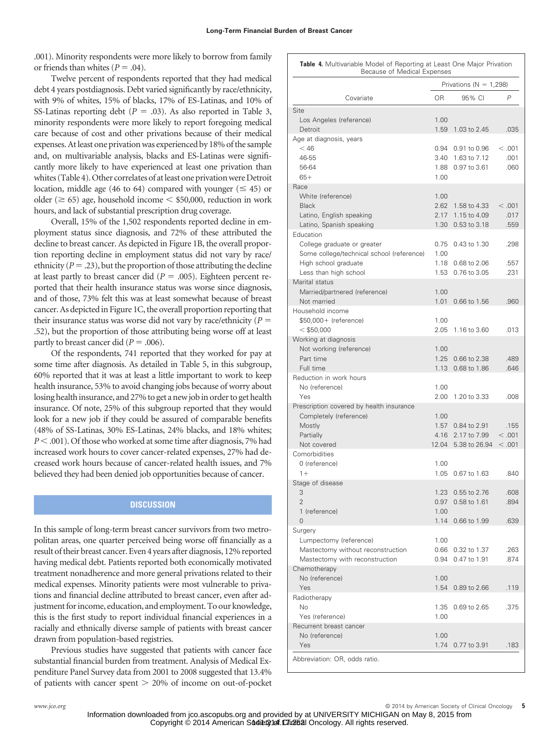.001). Minority respondents were more likely to borrow from family or friends than whites  $(P = .04)$ .

Twelve percent of respondents reported that they had medical debt 4 years postdiagnosis. Debt varied significantly by race/ethnicity, with 9% of whites, 15% of blacks, 17% of ES-Latinas, and 10% of SS-Latinas reporting debt ( $P = .03$ ). As also reported in Table 3, minority respondents were more likely to report foregoing medical care because of cost and other privations because of their medical expenses. At least one privation was experienced by 18% of the sample and, on multivariable analysis, blacks and ES-Latinas were significantly more likely to have experienced at least one privation than whites (Table 4). Other correlates of at least one privation were Detroit location, middle age (46 to 64) compared with younger ( $\leq$  45) or older ( $\geq 65$ ) age, household income  $\leq$  \$50,000, reduction in work hours, and lack of substantial prescription drug coverage.

Overall, 15% of the 1,502 respondents reported decline in employment status since diagnosis, and 72% of these attributed the decline to breast cancer. As depicted in Figure 1B, the overall proportion reporting decline in employment status did not vary by race/ ethnicity ( $P = .23$ ), but the proportion of those attributing the decline at least partly to breast cancer did  $(P = .005)$ . Eighteen percent reported that their health insurance status was worse since diagnosis, and of those, 73% felt this was at least somewhat because of breast cancer. As depicted in Figure 1C, the overall proportion reporting that their insurance status was worse did not vary by race/ethnicity  $(P =$ .52), but the proportion of those attributing being worse off at least partly to breast cancer did  $(P = .006)$ .

Of the respondents, 741 reported that they worked for pay at some time after diagnosis. As detailed in Table 5, in this subgroup, 60% reported that it was at least a little important to work to keep health insurance, 53% to avoid changing jobs because of worry about losing health insurance, and 27% to get a new job in order to get health insurance. Of note, 25% of this subgroup reported that they would look for a new job if they could be assured of comparable benefits (48% of SS-Latinas, 30% ES-Latinas, 24% blacks, and 18% whites; *P* < .001). Of those who worked at some time after diagnosis, 7% had increased work hours to cover cancer-related expenses, 27% had decreased work hours because of cancer-related health issues, and 7% believed they had been denied job opportunities because of cancer.

# **DISCUSSION**

In this sample of long-term breast cancer survivors from two metropolitan areas, one quarter perceived being worse off financially as a result of their breast cancer. Even 4 years after diagnosis, 12% reported having medical debt. Patients reported both economically motivated treatment nonadherence and more general privations related to their medical expenses. Minority patients were most vulnerable to privations and financial decline attributed to breast cancer, even after adjustment for income, education, and employment. To our knowledge, this is the first study to report individual financial experiences in a racially and ethnically diverse sample of patients with breast cancer drawn from population-based registries.

Previous studies have suggested that patients with cancer face substantial financial burden from treatment. Analysis of Medical Expenditure Panel Survey data from 2001 to 2008 suggested that 13.4% of patients with cancer spent  $> 20\%$  of income on out-of-pocket

|  | <b>Table 4.</b> Multivariable Model of Reporting at Least One Major Privation |
|--|-------------------------------------------------------------------------------|
|  | Because of Medical Expenses                                                   |

| DECAUSE OF IMENICAL EXPERISES<br>Privations ( $N = 1,298$ ) |              |                              |              |
|-------------------------------------------------------------|--------------|------------------------------|--------------|
| Covariate                                                   | 0R           | 95% CI                       | P            |
| Site                                                        |              |                              |              |
| Los Angeles (reference)                                     | 1.00         |                              |              |
| Detroit                                                     | 1.59         | 1.03 to 2.45                 | .035         |
| Age at diagnosis, years<br>$<$ 46                           | 0.94         | 0.91 to 0.96                 | < 0.001      |
| 46-55                                                       | 3.40         | 1.63 to 7.12                 | .001         |
| 56-64                                                       | 1.88         | 0.97 to 3.61                 | .060         |
| $65+$                                                       | 1.00         |                              |              |
| Race                                                        |              |                              |              |
| White (reference)<br><b>Black</b>                           | 1.00<br>2.62 | 1.58 to 4.33                 | < 0.001      |
| Latino, English speaking                                    | 2.17         | 1.15 to 4.09                 | .017         |
| Latino, Spanish speaking                                    | 1.30         | 0.53 to 3.18                 | .559         |
| Education                                                   |              |                              |              |
| College graduate or greater                                 | 0.75         | 0.43 to 1.30                 | .298         |
| Some college/technical school (reference)                   | 1.00         |                              |              |
| High school graduate                                        | 1.18<br>1.53 | 0.68 to 2.06<br>0.76 to 3.05 | .557<br>.231 |
| Less than high school<br>Marital status                     |              |                              |              |
| Married/partnered (reference)                               | 1.00         |                              |              |
| Not married                                                 | 1.01         | 0.66 to 1.56                 | .960         |
| Household income                                            |              |                              |              |
| \$50,000+ (reference)                                       | 1.00         |                              |              |
| $<$ \$50,000<br>Working at diagnosis                        | 2.05         | 1.16 to 3.60                 | .013         |
| Not working (reference)                                     | 1.00         |                              |              |
| Part time                                                   | 1.25         | 0.66 to 2.38                 | .489         |
| Full time                                                   | 1.13         | 0.68 to 1.86                 | .646         |
| Reduction in work hours                                     |              |                              |              |
| No (reference)                                              | 1.00         |                              |              |
| Yes<br>Prescription covered by health insurance             | 2.00         | 1.20 to 3.33                 | .008         |
| Completely (reference)                                      | 1.00         |                              |              |
| Mostly                                                      | 1.57         | 0.84 to 2.91                 | .155         |
| Partially                                                   | 4.16         | 2.17 to 7.99                 | < 0.001      |
| Not covered                                                 | 12.04        | 5.38 to 26.94                | < 0.001      |
| Comorbidities                                               |              |                              |              |
| 0 (reference)<br>$1 +$                                      | 1.00<br>1.05 | 0.67 to 1.63                 | .840         |
| Stage of disease                                            |              |                              |              |
| 3                                                           | 1.23         | 0.55 to 2.76                 | .608         |
| $\overline{2}$                                              |              | 0.97 0.58 to 1.61            | .894         |
| 1 (reference)                                               | 1.00         |                              |              |
| 0                                                           | 1.14         | 0.66 to 1.99                 | .639         |
| Surgery<br>Lumpectomy (reference)                           | 1.00         |                              |              |
| Mastectomy without reconstruction                           | 0.66         | 0.32 to 1.37                 | .263         |
| Mastectomy with reconstruction                              | 0.94         | 0.47 to 1.91                 | .874         |
| Chemotherapy                                                |              |                              |              |
| No (reference)                                              | 1.00         |                              |              |
| Yes                                                         | 1.54         | 0.89 to 2.66                 | .119         |
| Radiotherapy<br>No                                          | 1.35         | 0.69 to 2.65                 | .375         |
| Yes (reference)                                             | 1.00         |                              |              |
| Recurrent breast cancer                                     |              |                              |              |
| No (reference)                                              | 1.00         |                              |              |
| Yes                                                         | 1.74         | 0.77 to 3.91                 | .183         |
| Abbreviation: OR, odds ratio.                               |              |                              |              |

*www.jco.org* © 2014 by American Society of Clinical Oncology **5** Copyright © 2014 American Society of Cluasial Oncology. All rights reserved. Information downloaded from jco.ascopubs.org and provided by at UNIVERSITY MICHIGAN on May 8, 2015 from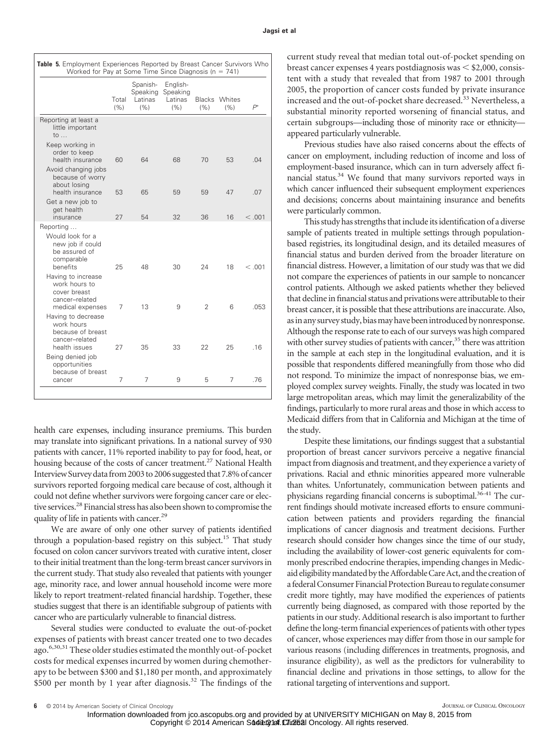|                                                                                           |               | Spanish-                   | English-                   |               |               |                |
|-------------------------------------------------------------------------------------------|---------------|----------------------------|----------------------------|---------------|---------------|----------------|
|                                                                                           | Total<br>(% ) | Speaking<br>Latinas<br>(%) | Speaking<br>Latinas<br>(%) | Blacks<br>(%) | Whites<br>(%) | $P^*$          |
| Reporting at least a<br>little important<br>to $\ldots$                                   |               |                            |                            |               |               |                |
| Keep working in<br>order to keep<br>health insurance                                      | 60            | 64                         | 68                         | 70            | 53            | .04            |
| Avoid changing jobs<br>because of worry<br>about losing                                   |               |                            |                            |               |               |                |
| health insurance<br>Get a new job to<br>get health<br>insurance                           | 53<br>27      | 65<br>54                   | 59<br>32                   | 59<br>36      | 47<br>16      | .07<br>< 0.001 |
| Reporting                                                                                 |               |                            |                            |               |               |                |
| Would look for a<br>new job if could<br>be assured of<br>comparable<br>benefits           | 25            | 48                         | 30                         | 24            | 18            | <.001          |
| Having to increase<br>work hours to<br>cover breast<br>cancer-related<br>medical expenses | 7             | 13                         | 9                          | 2             | 6             | .053           |
| Having to decrease<br>work hours<br>because of breast<br>cancer-related<br>health issues  | 27            | 35                         | 33                         | 22            | 25            | .16            |
| Being denied job<br>opportunities<br>because of breast                                    |               |                            |                            |               |               |                |
| cancer                                                                                    | 7             | 7                          | 9                          | 5             | 7             | .76            |

health care expenses, including insurance premiums. This burden may translate into significant privations. In a national survey of 930 patients with cancer, 11% reported inability to pay for food, heat, or housing because of the costs of cancer treatment.<sup>27</sup> National Health Interview Survey datafrom 2003 to 2006 suggested that 7.8% of cancer survivors reported forgoing medical care because of cost, although it could not define whether survivors were forgoing cancer care or elective services.28 Financial stress has also been shown to compromise the quality of life in patients with cancer.<sup>29</sup>

We are aware of only one other survey of patients identified through a population-based registry on this subject.<sup>15</sup> That study focused on colon cancer survivors treated with curative intent, closer to their initial treatment than the long-term breast cancer survivors in the current study. That study also revealed that patients with younger age, minority race, and lower annual household income were more likely to report treatment-related financial hardship. Together, these studies suggest that there is an identifiable subgroup of patients with cancer who are particularly vulnerable to financial distress.

Several studies were conducted to evaluate the out-of-pocket expenses of patients with breast cancer treated one to two decades ago.<sup>6,30,31</sup> These older studies estimated the monthly out-of-pocket costs for medical expenses incurred by women during chemotherapy to be between \$300 and \$1,180 per month, and approximately  $$500$  per month by 1 year after diagnosis.<sup>32</sup> The findings of the

current study reveal that median total out-of-pocket spending on breast cancer expenses 4 years postdiagnosis was  $\le$  \$2,000, consistent with a study that revealed that from 1987 to 2001 through 2005, the proportion of cancer costs funded by private insurance increased and the out-of-pocket share decreased.<sup>33</sup> Nevertheless, a substantial minority reported worsening of financial status, and certain subgroups—including those of minority race or ethnicity appeared particularly vulnerable.

Previous studies have also raised concerns about the effects of cancer on employment, including reduction of income and loss of employment-based insurance, which can in turn adversely affect financial status.<sup>34</sup> We found that many survivors reported ways in which cancer influenced their subsequent employment experiences and decisions; concerns about maintaining insurance and benefits were particularly common.

This study has strengths that include its identification of a diverse sample of patients treated in multiple settings through populationbased registries, its longitudinal design, and its detailed measures of financial status and burden derived from the broader literature on financial distress. However, a limitation of our study was that we did not compare the experiences of patients in our sample to noncancer control patients. Although we asked patients whether they believed that decline in financial status and privations were attributable to their breast cancer, it is possible that these attributions are inaccurate. Also, as in any survey study, bias may have been introduced by nonresponse. Although the response rate to each of our surveys was high compared with other survey studies of patients with cancer, $35$  there was attrition in the sample at each step in the longitudinal evaluation, and it is possible that respondents differed meaningfully from those who did not respond. To minimize the impact of nonresponse bias, we employed complex survey weights. Finally, the study was located in two large metropolitan areas, which may limit the generalizability of the findings, particularly to more rural areas and those in which access to Medicaid differs from that in California and Michigan at the time of the study.

Despite these limitations, our findings suggest that a substantial proportion of breast cancer survivors perceive a negative financial impact from diagnosis and treatment, and they experience a variety of privations. Racial and ethnic minorities appeared more vulnerable than whites. Unfortunately, communication between patients and physicians regarding financial concerns is suboptimal.<sup>36-41</sup> The current findings should motivate increased efforts to ensure communication between patients and providers regarding the financial implications of cancer diagnosis and treatment decisions. Further research should consider how changes since the time of our study, including the availability of lower-cost generic equivalents for commonly prescribed endocrine therapies, impending changes in Medicaid eligibilitymandated by theAffordableCareAct, and the creation of a federal Consumer Financial Protection Bureau to regulate consumer credit more tightly, may have modified the experiences of patients currently being diagnosed, as compared with those reported by the patients in our study. Additional research is also important to further define the long-term financial experiences of patients with other types of cancer, whose experiences may differ from those in our sample for various reasons (including differences in treatments, prognosis, and insurance eligibility), as well as the predictors for vulnerability to financial decline and privations in those settings, to allow for the rational targeting of interventions and support.

Copyright © 2014 American Society of Cluasial Oncology. All rights reserved. Information downloaded from jco.ascopubs.org and provided by at UNIVERSITY MICHIGAN on May 8, 2015 from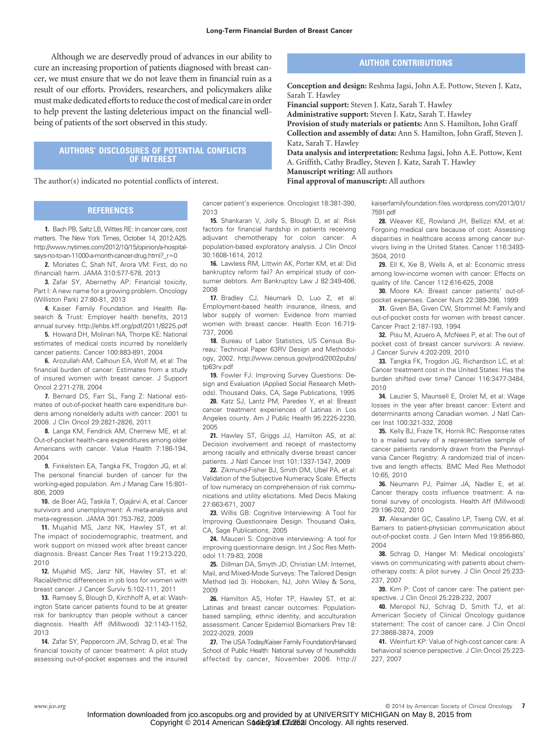Although we are deservedly proud of advances in our ability to cure an increasing proportion of patients diagnosed with breast cancer, we must ensure that we do not leave them in financial ruin as a result of our efforts. Providers, researchers, and policymakers alike must make dedicated efforts to reduce the cost of medical care in order to help prevent the lasting deleterious impact on the financial wellbeing of patients of the sort observed in this study.

# **AUTHORS' DISCLOSURES OF POTENTIAL CONFLICTS OF INTEREST**

The author(s) indicated no potential conflicts of interest.

# **REFERENCES**

**1.** Bach PB, Saltz LB, Wittes RE: In cancer care, cost matters. The New York Times, October 14, 2012:A25. [http://www.nytimes.com/2012/10/15/opinion/a-hospital](http://www.nytimes.com/2012/10/15/opinion/a-hospital-says-no-to-an-11000-a-month-cancer-drug.html?_r=0)says-no-to-an-11000-a-month-cancer-drug.html? r=0

**2.** Moriates C, Shah NT, Arora VM: First, do no (financial) harm. JAMA 310:577-578, 2013

**3.** Zafar SY, Abernethy AP: Financial toxicity, Part I: A new name for a growing problem. Oncology (Williston Park) 27:80-81, 2013

**4.** Kaiser Family Foundation and Health Research & Trust: Employer health benefits, 2013 annual survey.<http://ehbs.kff.org/pdf/2011/8225.pdf>

**5.** Howard DH, Molinari NA, Thorpe KE: National estimates of medical costs incurred by nonelderly cancer patients. Cancer 100:883-891, 2004

**6.** Arozullah AM, Calhoun EA, Wolf M, et al: The financial burden of cancer: Estimates from a study of insured women with breast cancer. J Support Oncol 2:271-278, 2004

**7.** Bernard DS, Farr SL, Fang Z: National estimates of out-of-pocket health care expenditure burdens among nonelderly adults with cancer: 2001 to 2008. J Clin Oncol 29:2821-2826, 2011

**8.** Langa KM, Fendrick AM, Chernew ME, et al: Out-of-pocket health-care expenditures among older Americans with cancer. Value Health 7:186-194, 2004

**9.** Finkelstein EA, Tangka FK, Trogdon JG, et al: The personal financial burden of cancer for the working-aged population. Am J Manag Care 15:801- 806, 2009

10. de Boer AG, Taskila T, Ojajärvi A, et al: Cancer survivors and unemployment: A meta-analysis and meta-regression. JAMA 301:753-762, 2009

**11.** Mujahid MS, Janz NK, Hawley ST, et al: The impact of sociodemographic, treatment, and work support on missed work after breast cancer diagnosis. Breast Cancer Res Treat 119:213-220, 2010

**12.** Mujahid MS, Janz NK, Hawley ST, et al: Racial/ethnic differences in job loss for women with breast cancer. J Cancer Surviv 5:102-111, 2011

**13.** Ramsey S, Blough D, Kirchhoff A, et al: Washington State cancer patients found to be at greater risk for bankruptcy than people without a cancer diagnosis. Health Aff (Millwood) 32:1143-1152, 2013

**14.** Zafar SY, Peppercorn JM, Schrag D, et al: The financial toxicity of cancer treatment: A pilot study assessing out-of-pocket expenses and the insured cancer patient's experience. Oncologist 18:381-390, 2013

**15.** Shankaran V, Jolly S, Blough D, et al: Risk factors for financial hardship in patients receiving adjuvant chemotherapy for colon cancer: A population-based exploratory analysis. J Clin Oncol 30:1608-1614, 2012

**16.** Lawless RM, Littwin AK, Porter KM, et al: Did bankruptcy reform fail? An empirical study of consumer debtors. Am Bankruptcy Law J 82:349-406, 2008

**17.** Bradley CJ, Neumark D, Luo Z, et al: Employment-based health insurance, illness, and labor supply of women: Evidence from married women with breast cancer. Health Econ 16:719- 737, 2006

**18.** Bureau of Labor Statistics, US Census Bureau: Technical Paper 63RV Design and Methodology, 2002. [http://www.census.gov/prod/2002pubs/](http://www.census.gov/prod/2002pubs/tp63rv.pdf) [tp63rv.pdf](http://www.census.gov/prod/2002pubs/tp63rv.pdf)

**19.** Fowler FJ: Improving Survey Questions: Design and Evaluation (Applied Social Research Methods). Thousand Oaks, CA, Sage Publications, 1995

**20.** Katz SJ, Lantz PM, Paredes Y, et al: Breast cancer treatment experiences of Latinas in Los Angeles county. Am J Public Health 95:2225-2230, 2005

**21.** Hawley ST, Griggs JJ, Hamilton AS, et al: Decision involvement and receipt of mastectomy among racially and ethnically diverse breast cancer patients. J Natl Cancer Inst 101:1337-1347, 2009

**22.** Zikmund-Fisher BJ, Smith DM, Ubel PA, et al: Validation of the Subjective Numeracy Scale: Effects of low numeracy on comprehension of risk communications and utility elicitations. Med Decis Making 27:663-671, 2007

**23.** Willis GB: Cognitive Interviewing: A Tool for Improving Questionnaire Design. Thousand Oaks, CA, Sage Publications, 2005

**24.** Mauceri S: Cognitive interviewing: A tool for improving questionnaire design. Int J Soc Res Methodol 11:79-83, 2008

**25.** Dillman DA, Smyth JD, Christian LM: Internet, Mail, and Mixed-Mode Surveys: The Tailored Design Method (ed 3). Hoboken, NJ, John Wiley & Sons, 2009

**26.** Hamilton AS, Hofer TP, Hawley ST, et al: Latinas and breast cancer outcomes: Populationbased sampling, ethnic identity, and acculturation assessment. Cancer Epidemiol Biomarkers Prev 18: 2022-2029, 2009

**27.** The USA Today/Kaiser Family Foundation/Harvard School of Public Health: National survey of households affected by cancer, November 2006. [http://](http://kaiserfamilyfoundation.files.wordpress.com/2013/01/7591.pdf)

# **AUTHOR CONTRIBUTIONS**

**Conception and design:** Reshma Jagsi, John A.E. Pottow, Steven J. Katz, Sarah T. Hawley

**Financial support:** Steven J. Katz, Sarah T. Hawley

**Administrative support:** Steven J. Katz, Sarah T. Hawley

**Provision of study materials or patients:** Ann S. Hamilton, John Graff **Collection and assembly of data:** Ann S. Hamilton, John Graff, Steven J. Katz, Sarah T. Hawley

**Data analysis and interpretation:** Reshma Jagsi, John A.E. Pottow, Kent A. Griffith, Cathy Bradley, Steven J. Katz, Sarah T. Hawley **Manuscript writing:** All authors

**Final approval of manuscript:** All authors

[kaiserfamilyfoundation.files.wordpress.com/2013/01/](http://kaiserfamilyfoundation.files.wordpress.com/2013/01/7591.pdf) [7591.pdf](http://kaiserfamilyfoundation.files.wordpress.com/2013/01/7591.pdf)

**28.** Weaver KE, Rowland JH, Bellizzi KM, et al: Forgoing medical care because of cost: Assessing disparities in healthcare access among cancer survivors living in the United States. Cancer 116:3493- 3504, 2010

**29.** Ell K, Xie B, Wells A, et al: Economic stress among low-income women with cancer: Effects on quality of life. Cancer 112:616-625, 2008

**30.** Moore KA: Breast cancer patients' out-ofpocket expenses. Cancer Nurs 22:389-396, 1999

**31.** Given BA, Given CW, Stommel M: Family and out-of-pocket costs for women with breast cancer. Cancer Pract 2:187-193, 1994

**32.** Pisu M, Azuero A, McNees P, et al: The out of pocket cost of breast cancer survivors: A review. J Cancer Surviv 4:202-209, 2010

**33.** Tangka FK, Trogdon JG, Richardson LC, et al: Cancer treatment cost in the United States: Has the burden shifted over time? Cancer 116:3477-3484, 2010

**34.** Lauzier S, Maunsell E, Drolet M, et al: Wage losses in the year after breast cancer: Extent and determinants among Canadian women. J Natl Cancer Inst 100:321-332, 2008

**35.** Kelly BJ, Fraze TK, Hornik RC: Response rates to a mailed survey of a representative sample of cancer patients randomly drawn from the Pennsylvania Cancer Registry: A randomized trial of incentive and length effects. BMC Med Res Methodol 10:65, 2010

**36.** Neumann PJ, Palmer JA, Nadler E, et al: Cancer therapy costs influence treatment: A national survey of oncologists. Health Aff (Millwood) 29:196-202, 2010

**37.** Alexander GC, Casalino LP, Tseng CW, et al: Barriers to patient-physician communication about out-of-pocket costs. J Gen Intern Med 19:856-860, 2004

**38.** Schrag D, Hanger M: Medical oncologists' views on communicating with patients about chemotherapy costs: A pilot survey. J Clin Oncol 25:233- 237, 2007

**39.** Kim P: Cost of cancer care: The patient perspective. J Clin Oncol 25:228-232, 2007

**40.** Meropol NJ, Schrag D, Smith TJ, et al: American Society of Clinical Oncology guidance statement: The cost of cancer care. J Clin Oncol 27:3868-3874, 2009

**41.** Weinfurt KP: Value of high-cost cancer care: A behavioral science perspective. J Clin Oncol 25:223- 227, 2007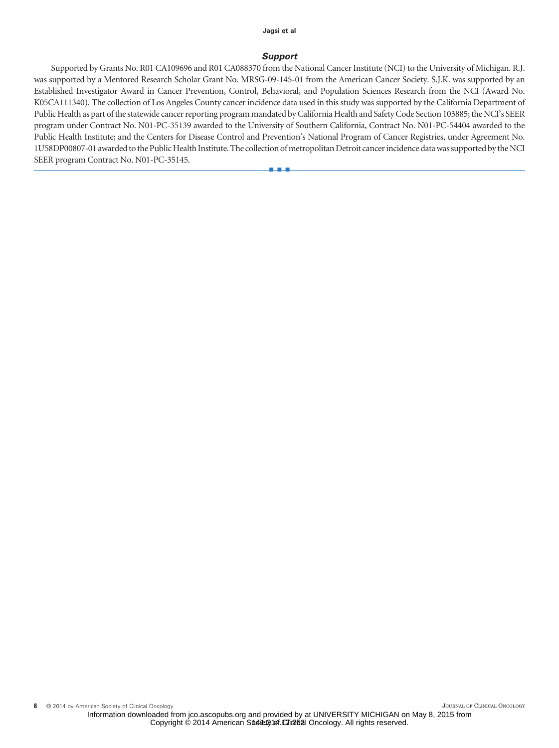#### **Jagsi et al**

# *Support*

Supported by Grants No. R01 CA109696 and R01 CA088370 from the National Cancer Institute (NCI) to the University of Michigan. R.J. was supported by a Mentored Research Scholar Grant No. MRSG-09-145-01 from the American Cancer Society. S.J.K. was supported by an Established Investigator Award in Cancer Prevention, Control, Behavioral, and Population Sciences Research from the NCI (Award No. K05CA111340). The collection of Los Angeles County cancer incidence data used in this study was supported by the California Department of Public Health as part of the statewide cancer reporting program mandated by California Health and Safety Code Section 103885; the NCI's SEER program under Contract No. N01-PC-35139 awarded to the University of Southern California, Contract No. N01-PC-54404 awarded to the Public Health Institute; and the Centers for Disease Control and Prevention's National Program of Cancer Registries, under Agreement No. 1U58DP00807-01 awarded to the Public Health Institute. The collection of metropolitan Detroit cancer incidence data was supported by the NCI SEER program Contract No. N01-PC-35145.

■■■